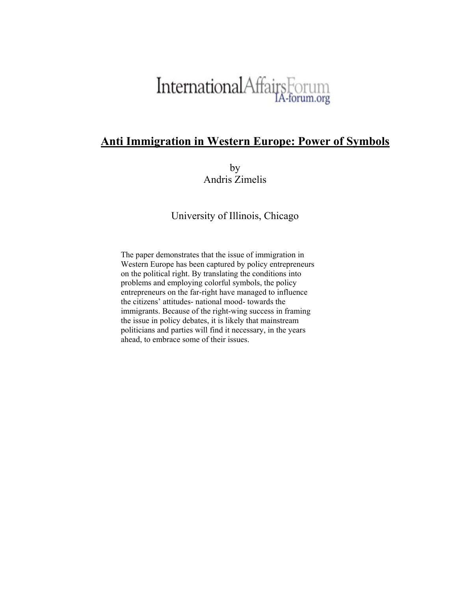# InternationalAffairsForum

# **Anti Immigration in Western Europe: Power of Symbols**

by Andris Zimelis

University of Illinois, Chicago

The paper demonstrates that the issue of immigration in Western Europe has been captured by policy entrepreneurs on the political right. By translating the conditions into problems and employing colorful symbols, the policy entrepreneurs on the far-right have managed to influence the citizens' attitudes- national mood- towards the immigrants. Because of the right-wing success in framing the issue in policy debates, it is likely that mainstream politicians and parties will find it necessary, in the years ahead, to embrace some of their issues.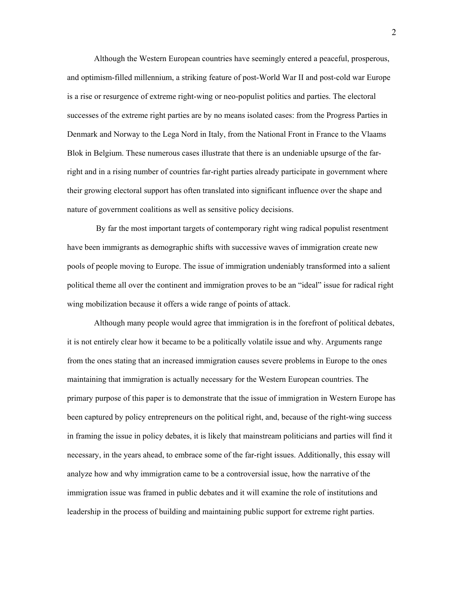Although the Western European countries have seemingly entered a peaceful, prosperous, and optimism-filled millennium, a striking feature of post-World War II and post-cold war Europe is a rise or resurgence of extreme right-wing or neo-populist politics and parties. The electoral successes of the extreme right parties are by no means isolated cases: from the Progress Parties in Denmark and Norway to the Lega Nord in Italy, from the National Front in France to the Vlaams Blok in Belgium. These numerous cases illustrate that there is an undeniable upsurge of the farright and in a rising number of countries far-right parties already participate in government where their growing electoral support has often translated into significant influence over the shape and nature of government coalitions as well as sensitive policy decisions.

 By far the most important targets of contemporary right wing radical populist resentment have been immigrants as demographic shifts with successive waves of immigration create new pools of people moving to Europe. The issue of immigration undeniably transformed into a salient political theme all over the continent and immigration proves to be an "ideal" issue for radical right wing mobilization because it offers a wide range of points of attack.

Although many people would agree that immigration is in the forefront of political debates, it is not entirely clear how it became to be a politically volatile issue and why. Arguments range from the ones stating that an increased immigration causes severe problems in Europe to the ones maintaining that immigration is actually necessary for the Western European countries. The primary purpose of this paper is to demonstrate that the issue of immigration in Western Europe has been captured by policy entrepreneurs on the political right, and, because of the right-wing success in framing the issue in policy debates, it is likely that mainstream politicians and parties will find it necessary, in the years ahead, to embrace some of the far-right issues. Additionally, this essay will analyze how and why immigration came to be a controversial issue, how the narrative of the immigration issue was framed in public debates and it will examine the role of institutions and leadership in the process of building and maintaining public support for extreme right parties.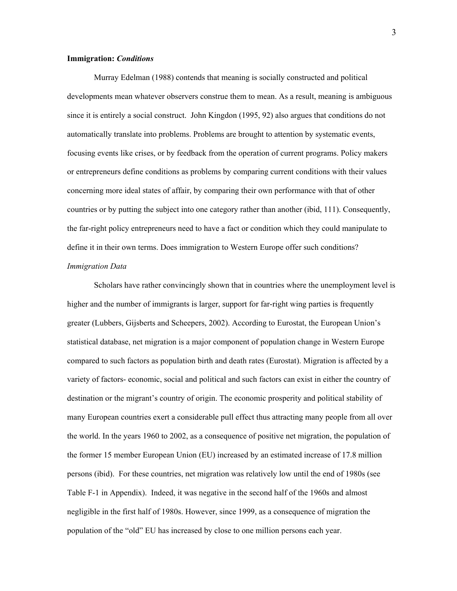#### **Immigration:** *Conditions*

Murray Edelman (1988) contends that meaning is socially constructed and political developments mean whatever observers construe them to mean. As a result, meaning is ambiguous since it is entirely a social construct. John Kingdon (1995, 92) also argues that conditions do not automatically translate into problems. Problems are brought to attention by systematic events, focusing events like crises, or by feedback from the operation of current programs. Policy makers or entrepreneurs define conditions as problems by comparing current conditions with their values concerning more ideal states of affair, by comparing their own performance with that of other countries or by putting the subject into one category rather than another (ibid, 111). Consequently, the far-right policy entrepreneurs need to have a fact or condition which they could manipulate to define it in their own terms. Does immigration to Western Europe offer such conditions?

#### *Immigration Data*

Scholars have rather convincingly shown that in countries where the unemployment level is higher and the number of immigrants is larger, support for far-right wing parties is frequently greater (Lubbers, Gijsberts and Scheepers, 2002). According to Eurostat, the European Union's statistical database, net migration is a major component of population change in Western Europe compared to such factors as population birth and death rates (Eurostat). Migration is affected by a variety of factors- economic, social and political and such factors can exist in either the country of destination or the migrant's country of origin. The economic prosperity and political stability of many European countries exert a considerable pull effect thus attracting many people from all over the world. In the years 1960 to 2002, as a consequence of positive net migration, the population of the former 15 member European Union (EU) increased by an estimated increase of 17.8 million persons (ibid). For these countries, net migration was relatively low until the end of 1980s (see Table F-1 in Appendix). Indeed, it was negative in the second half of the 1960s and almost negligible in the first half of 1980s. However, since 1999, as a consequence of migration the population of the "old" EU has increased by close to one million persons each year.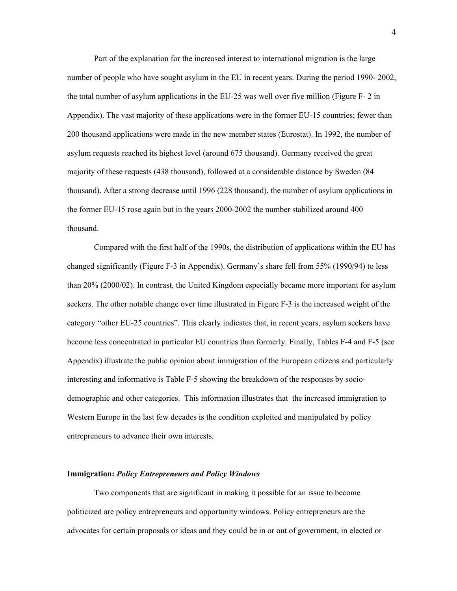Part of the explanation for the increased interest to international migration is the large number of people who have sought asylum in the EU in recent years. During the period 1990- 2002, the total number of asylum applications in the EU-25 was well over five million (Figure F- 2 in Appendix). The vast majority of these applications were in the former EU-15 countries; fewer than 200 thousand applications were made in the new member states (Eurostat). In 1992, the number of asylum requests reached its highest level (around 675 thousand). Germany received the great majority of these requests (438 thousand), followed at a considerable distance by Sweden (84 thousand). After a strong decrease until 1996 (228 thousand), the number of asylum applications in the former EU-15 rose again but in the years 2000-2002 the number stabilized around 400 thousand.

Compared with the first half of the 1990s, the distribution of applications within the EU has changed significantly (Figure F-3 in Appendix). Germany's share fell from 55% (1990/94) to less than 20% (2000/02). In contrast, the United Kingdom especially became more important for asylum seekers. The other notable change over time illustrated in Figure F-3 is the increased weight of the category "other EU-25 countries". This clearly indicates that, in recent years, asylum seekers have become less concentrated in particular EU countries than formerly. Finally, Tables F-4 and F-5 (see Appendix) illustrate the public opinion about immigration of the European citizens and particularly interesting and informative is Table F-5 showing the breakdown of the responses by sociodemographic and other categories. This information illustrates that the increased immigration to Western Europe in the last few decades is the condition exploited and manipulated by policy entrepreneurs to advance their own interests.

#### **Immigration:** *Policy Entrepreneurs and Policy Windows*

Two components that are significant in making it possible for an issue to become politicized are policy entrepreneurs and opportunity windows. Policy entrepreneurs are the advocates for certain proposals or ideas and they could be in or out of government, in elected or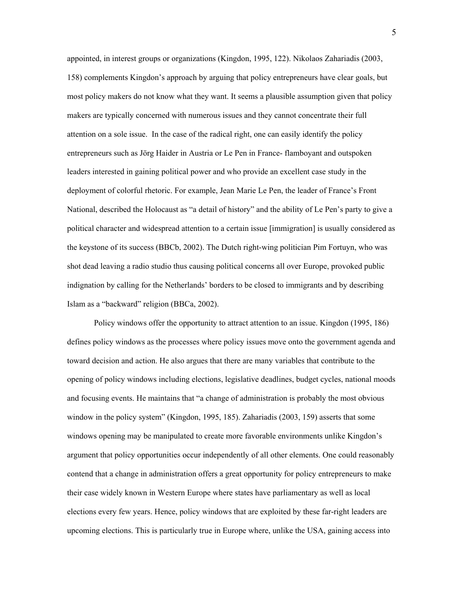appointed, in interest groups or organizations (Kingdon, 1995, 122). Nikolaos Zahariadis (2003, 158) complements Kingdon's approach by arguing that policy entrepreneurs have clear goals, but most policy makers do not know what they want. It seems a plausible assumption given that policy makers are typically concerned with numerous issues and they cannot concentrate their full attention on a sole issue. In the case of the radical right, one can easily identify the policy entrepreneurs such as Jörg Haider in Austria or Le Pen in France- flamboyant and outspoken leaders interested in gaining political power and who provide an excellent case study in the deployment of colorful rhetoric. For example, Jean Marie Le Pen, the leader of France's Front National, described the Holocaust as "a detail of history" and the ability of Le Pen's party to give a political character and widespread attention to a certain issue [immigration] is usually considered as the keystone of its success (BBCb, 2002). The Dutch right-wing politician Pim Fortuyn, who was shot dead leaving a radio studio thus causing political concerns all over Europe, provoked public indignation by calling for the Netherlands' borders to be closed to immigrants and by describing Islam as a "backward" religion (BBCa, 2002).

Policy windows offer the opportunity to attract attention to an issue. Kingdon (1995, 186) defines policy windows as the processes where policy issues move onto the government agenda and toward decision and action. He also argues that there are many variables that contribute to the opening of policy windows including elections, legislative deadlines, budget cycles, national moods and focusing events. He maintains that "a change of administration is probably the most obvious window in the policy system" (Kingdon, 1995, 185). Zahariadis (2003, 159) asserts that some windows opening may be manipulated to create more favorable environments unlike Kingdon's argument that policy opportunities occur independently of all other elements. One could reasonably contend that a change in administration offers a great opportunity for policy entrepreneurs to make their case widely known in Western Europe where states have parliamentary as well as local elections every few years. Hence, policy windows that are exploited by these far-right leaders are upcoming elections. This is particularly true in Europe where, unlike the USA, gaining access into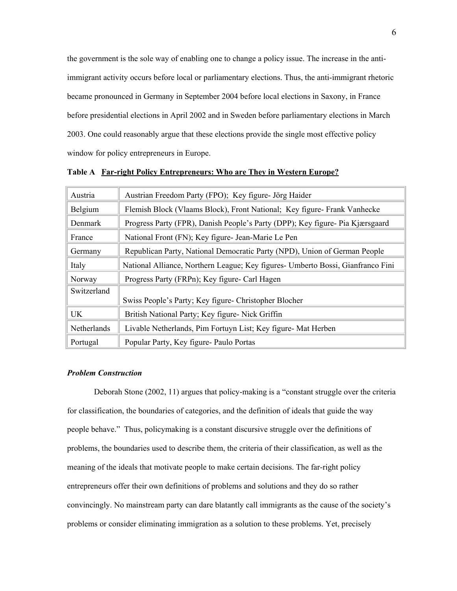the government is the sole way of enabling one to change a policy issue. The increase in the antiimmigrant activity occurs before local or parliamentary elections. Thus, the anti-immigrant rhetoric became pronounced in Germany in September 2004 before local elections in Saxony, in France before presidential elections in April 2002 and in Sweden before parliamentary elections in March 2003. One could reasonably argue that these elections provide the single most effective policy window for policy entrepreneurs in Europe.

| Austria     | Austrian Freedom Party (FPO); Key figure- Jörg Haider                           |  |  |  |  |  |  |  |  |
|-------------|---------------------------------------------------------------------------------|--|--|--|--|--|--|--|--|
| Belgium     | Flemish Block (Vlaams Block), Front National; Key figure- Frank Vanhecke        |  |  |  |  |  |  |  |  |
| Denmark     | Progress Party (FPR), Danish People's Party (DPP); Key figure- Pia Kjærsgaard   |  |  |  |  |  |  |  |  |
| France      | National Front (FN); Key figure- Jean-Marie Le Pen                              |  |  |  |  |  |  |  |  |
| Germany     | Republican Party, National Democratic Party (NPD), Union of German People       |  |  |  |  |  |  |  |  |
| Italy       | National Alliance, Northern League; Key figures- Umberto Bossi, Gianfranco Fini |  |  |  |  |  |  |  |  |
| Norway      | Progress Party (FRPn); Key figure- Carl Hagen                                   |  |  |  |  |  |  |  |  |
| Switzerland |                                                                                 |  |  |  |  |  |  |  |  |
|             | Swiss People's Party; Key figure- Christopher Blocher                           |  |  |  |  |  |  |  |  |
| <b>UK</b>   | British National Party; Key figure- Nick Griffin                                |  |  |  |  |  |  |  |  |
| Netherlands | Livable Netherlands, Pim Fortuyn List; Key figure- Mat Herben                   |  |  |  |  |  |  |  |  |
| Portugal    | Popular Party, Key figure- Paulo Portas                                         |  |  |  |  |  |  |  |  |

**Table A Far-right Policy Entrepreneurs: Who are They in Western Europe?**

#### *Problem Construction*

Deborah Stone (2002, 11) argues that policy-making is a "constant struggle over the criteria for classification, the boundaries of categories, and the definition of ideals that guide the way people behave." Thus, policymaking is a constant discursive struggle over the definitions of problems, the boundaries used to describe them, the criteria of their classification, as well as the meaning of the ideals that motivate people to make certain decisions. The far-right policy entrepreneurs offer their own definitions of problems and solutions and they do so rather convincingly. No mainstream party can dare blatantly call immigrants as the cause of the society's problems or consider eliminating immigration as a solution to these problems. Yet, precisely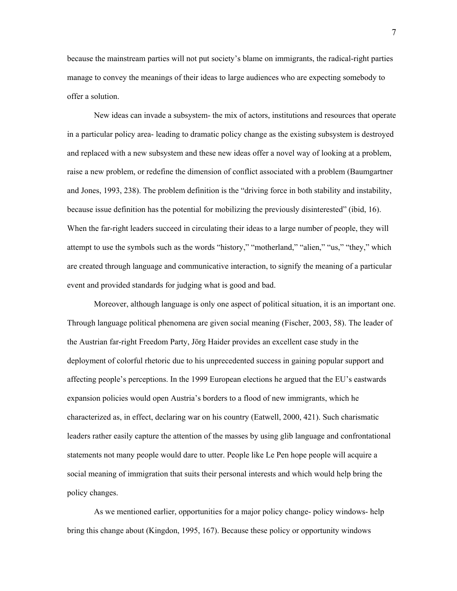because the mainstream parties will not put society's blame on immigrants, the radical-right parties manage to convey the meanings of their ideas to large audiences who are expecting somebody to offer a solution.

New ideas can invade a subsystem- the mix of actors, institutions and resources that operate in a particular policy area- leading to dramatic policy change as the existing subsystem is destroyed and replaced with a new subsystem and these new ideas offer a novel way of looking at a problem, raise a new problem, or redefine the dimension of conflict associated with a problem (Baumgartner and Jones, 1993, 238). The problem definition is the "driving force in both stability and instability, because issue definition has the potential for mobilizing the previously disinterested" (ibid, 16). When the far-right leaders succeed in circulating their ideas to a large number of people, they will attempt to use the symbols such as the words "history," "motherland," "alien," "us," "they," which are created through language and communicative interaction, to signify the meaning of a particular event and provided standards for judging what is good and bad.

Moreover, although language is only one aspect of political situation, it is an important one. Through language political phenomena are given social meaning (Fischer, 2003, 58). The leader of the Austrian far-right Freedom Party, Jörg Haider provides an excellent case study in the deployment of colorful rhetoric due to his unprecedented success in gaining popular support and affecting people's perceptions. In the 1999 European elections he argued that the EU's eastwards expansion policies would open Austria's borders to a flood of new immigrants, which he characterized as, in effect, declaring war on his country (Eatwell, 2000, 421). Such charismatic leaders rather easily capture the attention of the masses by using glib language and confrontational statements not many people would dare to utter. People like Le Pen hope people will acquire a social meaning of immigration that suits their personal interests and which would help bring the policy changes.

As we mentioned earlier, opportunities for a major policy change- policy windows- help bring this change about (Kingdon, 1995, 167). Because these policy or opportunity windows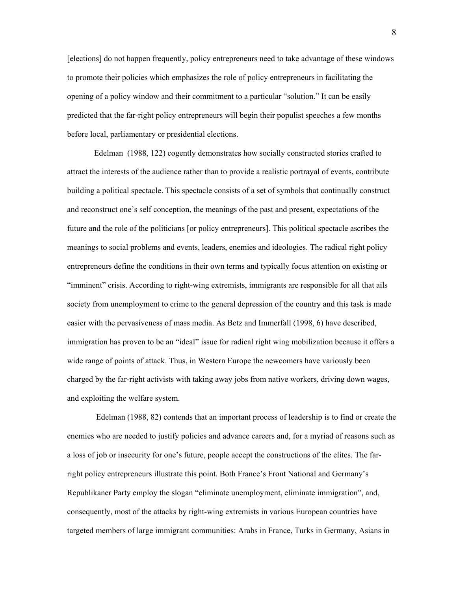[elections] do not happen frequently, policy entrepreneurs need to take advantage of these windows to promote their policies which emphasizes the role of policy entrepreneurs in facilitating the opening of a policy window and their commitment to a particular "solution." It can be easily predicted that the far-right policy entrepreneurs will begin their populist speeches a few months before local, parliamentary or presidential elections.

Edelman (1988, 122) cogently demonstrates how socially constructed stories crafted to attract the interests of the audience rather than to provide a realistic portrayal of events, contribute building a political spectacle. This spectacle consists of a set of symbols that continually construct and reconstruct one's self conception, the meanings of the past and present, expectations of the future and the role of the politicians [or policy entrepreneurs]. This political spectacle ascribes the meanings to social problems and events, leaders, enemies and ideologies. The radical right policy entrepreneurs define the conditions in their own terms and typically focus attention on existing or "imminent" crisis. According to right-wing extremists, immigrants are responsible for all that ails society from unemployment to crime to the general depression of the country and this task is made easier with the pervasiveness of mass media. As Betz and Immerfall (1998, 6) have described, immigration has proven to be an "ideal" issue for radical right wing mobilization because it offers a wide range of points of attack. Thus, in Western Europe the newcomers have variously been charged by the far-right activists with taking away jobs from native workers, driving down wages, and exploiting the welfare system.

 Edelman (1988, 82) contends that an important process of leadership is to find or create the enemies who are needed to justify policies and advance careers and, for a myriad of reasons such as a loss of job or insecurity for one's future, people accept the constructions of the elites. The farright policy entrepreneurs illustrate this point. Both France's Front National and Germany's Republikaner Party employ the slogan "eliminate unemployment, eliminate immigration", and, consequently, most of the attacks by right-wing extremists in various European countries have targeted members of large immigrant communities: Arabs in France, Turks in Germany, Asians in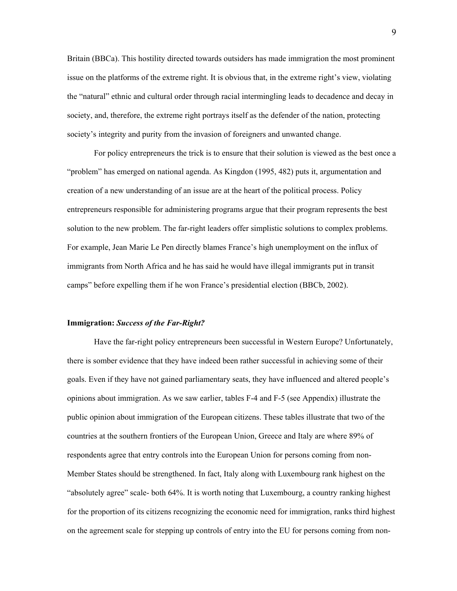Britain (BBCa). This hostility directed towards outsiders has made immigration the most prominent issue on the platforms of the extreme right. It is obvious that, in the extreme right's view, violating the "natural" ethnic and cultural order through racial intermingling leads to decadence and decay in society, and, therefore, the extreme right portrays itself as the defender of the nation, protecting society's integrity and purity from the invasion of foreigners and unwanted change.

For policy entrepreneurs the trick is to ensure that their solution is viewed as the best once a "problem" has emerged on national agenda. As Kingdon (1995, 482) puts it, argumentation and creation of a new understanding of an issue are at the heart of the political process. Policy entrepreneurs responsible for administering programs argue that their program represents the best solution to the new problem. The far-right leaders offer simplistic solutions to complex problems. For example, Jean Marie Le Pen directly blames France's high unemployment on the influx of immigrants from North Africa and he has said he would have illegal immigrants put in transit camps" before expelling them if he won France's presidential election (BBCb, 2002).

#### **Immigration:** *Success of the Far-Right?*

Have the far-right policy entrepreneurs been successful in Western Europe? Unfortunately, there is somber evidence that they have indeed been rather successful in achieving some of their goals. Even if they have not gained parliamentary seats, they have influenced and altered people's opinions about immigration. As we saw earlier, tables F-4 and F-5 (see Appendix) illustrate the public opinion about immigration of the European citizens. These tables illustrate that two of the countries at the southern frontiers of the European Union, Greece and Italy are where 89% of respondents agree that entry controls into the European Union for persons coming from non-Member States should be strengthened. In fact, Italy along with Luxembourg rank highest on the "absolutely agree" scale- both 64%. It is worth noting that Luxembourg, a country ranking highest for the proportion of its citizens recognizing the economic need for immigration, ranks third highest on the agreement scale for stepping up controls of entry into the EU for persons coming from non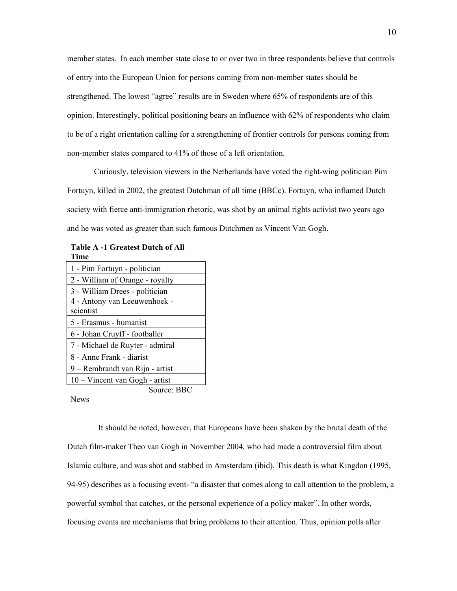member states. In each member state close to or over two in three respondents believe that controls of entry into the European Union for persons coming from non-member states should be strengthened. The lowest "agree" results are in Sweden where 65% of respondents are of this opinion. Interestingly, political positioning bears an influence with 62% of respondents who claim to be of a right orientation calling for a strengthening of frontier controls for persons coming from non-member states compared to 41% of those of a left orientation.

Curiously, television viewers in the Netherlands have voted the right-wing politician Pim Fortuyn, killed in 2002, the greatest Dutchman of all time (BBCc). Fortuyn, who inflamed Dutch society with fierce anti-immigration rhetoric, was shot by an animal rights activist two years ago and he was voted as greater than such famous Dutchmen as Vincent Van Gogh.

| <b>Table A-1 Greatest Dutch of All</b> |  |  |
|----------------------------------------|--|--|
| <b>Time</b>                            |  |  |

| 1 - Pim Fortuyn - politician     |  |  |  |  |  |  |  |
|----------------------------------|--|--|--|--|--|--|--|
| 2 - William of Orange - royalty  |  |  |  |  |  |  |  |
| 3 - William Drees - politician   |  |  |  |  |  |  |  |
| 4 - Antony van Leeuwenhoek -     |  |  |  |  |  |  |  |
| scientist                        |  |  |  |  |  |  |  |
| 5 - Erasmus - humanist           |  |  |  |  |  |  |  |
| 6 - Johan Cruyff - footballer    |  |  |  |  |  |  |  |
| 7 - Michael de Ruyter - admiral  |  |  |  |  |  |  |  |
| 8 - Anne Frank - diarist         |  |  |  |  |  |  |  |
| 9 – Rembrandt van Rijn - artist  |  |  |  |  |  |  |  |
| $10 -$ Vincent van Gogh - artist |  |  |  |  |  |  |  |
| Source: BBC                      |  |  |  |  |  |  |  |

News

 It should be noted, however, that Europeans have been shaken by the brutal death of the Dutch film-maker Theo van Gogh in November 2004, who had made a controversial film about Islamic culture, and was shot and stabbed in Amsterdam (ibid). This death is what Kingdon (1995, 94-95) describes as a focusing event- "a disaster that comes along to call attention to the problem, a powerful symbol that catches, or the personal experience of a policy maker". In other words, focusing events are mechanisms that bring problems to their attention. Thus, opinion polls after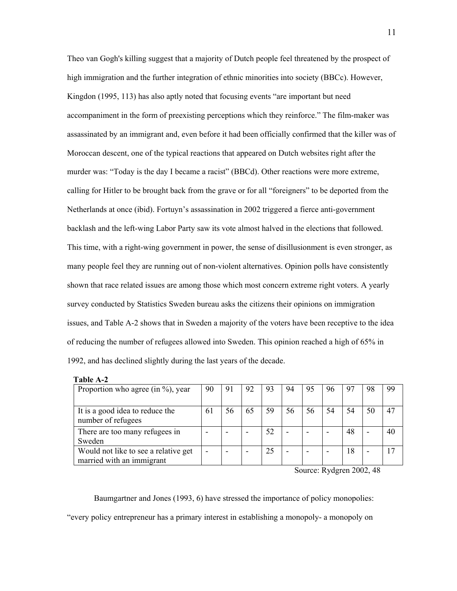Theo van Gogh's killing suggest that a majority of Dutch people feel threatened by the prospect of high immigration and the further integration of ethnic minorities into society (BBCc). However, Kingdon (1995, 113) has also aptly noted that focusing events "are important but need accompaniment in the form of preexisting perceptions which they reinforce." The film-maker was assassinated by an immigrant and, even before it had been officially confirmed that the killer was of Moroccan descent, one of the typical reactions that appeared on Dutch websites right after the murder was: "Today is the day I became a racist" (BBCd). Other reactions were more extreme, calling for Hitler to be brought back from the grave or for all "foreigners" to be deported from the Netherlands at once (ibid). Fortuyn's assassination in 2002 triggered a fierce anti-government backlash and the left-wing Labor Party saw its vote almost halved in the elections that followed. This time, with a right-wing government in power, the sense of disillusionment is even stronger, as many people feel they are running out of non-violent alternatives. Opinion polls have consistently shown that race related issues are among those which most concern extreme right voters. A yearly survey conducted by Statistics Sweden bureau asks the citizens their opinions on immigration issues, and Table A-2 shows that in Sweden a majority of the voters have been receptive to the idea of reducing the number of refugees allowed into Sweden. This opinion reached a high of 65% in 1992, and has declined slightly during the last years of the decade.

| Table A-2                                                         |  |    |    |    |    |    |    |    |    |                 |
|-------------------------------------------------------------------|--|----|----|----|----|----|----|----|----|-----------------|
| Proportion who agree (in $\%$ ), year                             |  | 91 | 92 | 93 | 94 | 95 | 96 | 97 | 98 | 99              |
|                                                                   |  |    |    |    |    |    |    |    |    |                 |
| It is a good idea to reduce the<br>number of refugees             |  | 56 | 65 | 59 | 56 | 56 | 54 | 54 | 50 | 47              |
| There are too many refugees in<br>Sweden                          |  |    |    | 52 |    |    |    | 48 |    | 40              |
| Would not like to see a relative get<br>married with an immigrant |  |    |    | 25 |    |    |    | 18 |    | $\overline{17}$ |

Source: Rydgren 2002, 48

Baumgartner and Jones (1993, 6) have stressed the importance of policy monopolies: "every policy entrepreneur has a primary interest in establishing a monopoly- a monopoly on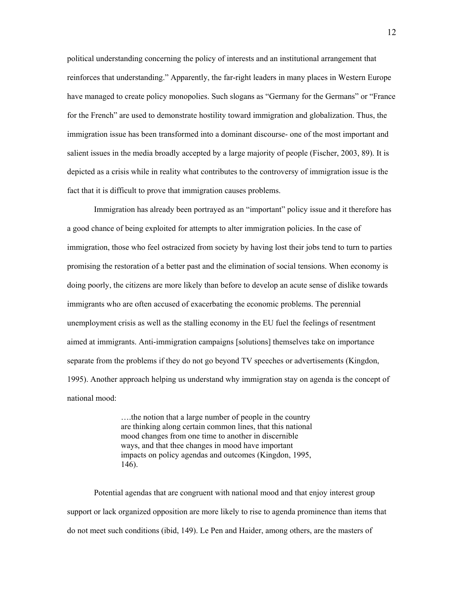political understanding concerning the policy of interests and an institutional arrangement that reinforces that understanding." Apparently, the far-right leaders in many places in Western Europe have managed to create policy monopolies. Such slogans as "Germany for the Germans" or "France for the French" are used to demonstrate hostility toward immigration and globalization. Thus, the immigration issue has been transformed into a dominant discourse- one of the most important and salient issues in the media broadly accepted by a large majority of people (Fischer, 2003, 89). It is depicted as a crisis while in reality what contributes to the controversy of immigration issue is the fact that it is difficult to prove that immigration causes problems.

Immigration has already been portrayed as an "important" policy issue and it therefore has a good chance of being exploited for attempts to alter immigration policies. In the case of immigration, those who feel ostracized from society by having lost their jobs tend to turn to parties promising the restoration of a better past and the elimination of social tensions. When economy is doing poorly, the citizens are more likely than before to develop an acute sense of dislike towards immigrants who are often accused of exacerbating the economic problems. The perennial unemployment crisis as well as the stalling economy in the EU fuel the feelings of resentment aimed at immigrants. Anti-immigration campaigns [solutions] themselves take on importance separate from the problems if they do not go beyond TV speeches or advertisements (Kingdon, 1995). Another approach helping us understand why immigration stay on agenda is the concept of national mood:

> ….the notion that a large number of people in the country are thinking along certain common lines, that this national mood changes from one time to another in discernible ways, and that thee changes in mood have important impacts on policy agendas and outcomes (Kingdon, 1995, 146).

Potential agendas that are congruent with national mood and that enjoy interest group support or lack organized opposition are more likely to rise to agenda prominence than items that do not meet such conditions (ibid, 149). Le Pen and Haider, among others, are the masters of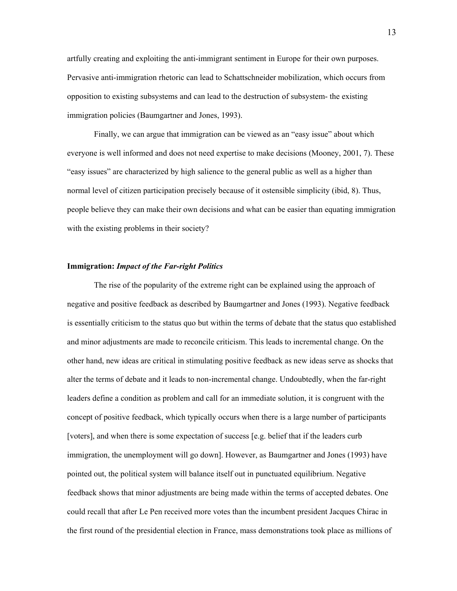artfully creating and exploiting the anti-immigrant sentiment in Europe for their own purposes. Pervasive anti-immigration rhetoric can lead to Schattschneider mobilization, which occurs from opposition to existing subsystems and can lead to the destruction of subsystem- the existing immigration policies (Baumgartner and Jones, 1993).

Finally, we can argue that immigration can be viewed as an "easy issue" about which everyone is well informed and does not need expertise to make decisions (Mooney, 2001, 7). These "easy issues" are characterized by high salience to the general public as well as a higher than normal level of citizen participation precisely because of it ostensible simplicity (ibid, 8). Thus, people believe they can make their own decisions and what can be easier than equating immigration with the existing problems in their society?

### **Immigration:** *Impact of the Far-right Politics*

The rise of the popularity of the extreme right can be explained using the approach of negative and positive feedback as described by Baumgartner and Jones (1993). Negative feedback is essentially criticism to the status quo but within the terms of debate that the status quo established and minor adjustments are made to reconcile criticism. This leads to incremental change. On the other hand, new ideas are critical in stimulating positive feedback as new ideas serve as shocks that alter the terms of debate and it leads to non-incremental change. Undoubtedly, when the far-right leaders define a condition as problem and call for an immediate solution, it is congruent with the concept of positive feedback, which typically occurs when there is a large number of participants [voters], and when there is some expectation of success [e.g. belief that if the leaders curb immigration, the unemployment will go down]. However, as Baumgartner and Jones (1993) have pointed out, the political system will balance itself out in punctuated equilibrium. Negative feedback shows that minor adjustments are being made within the terms of accepted debates. One could recall that after Le Pen received more votes than the incumbent president Jacques Chirac in the first round of the presidential election in France, mass demonstrations took place as millions of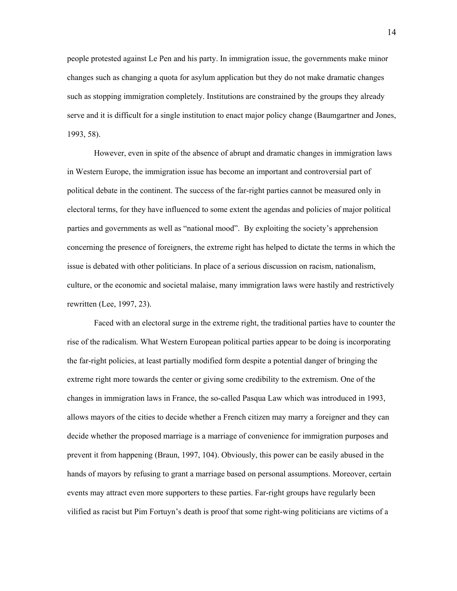people protested against Le Pen and his party. In immigration issue, the governments make minor changes such as changing a quota for asylum application but they do not make dramatic changes such as stopping immigration completely. Institutions are constrained by the groups they already serve and it is difficult for a single institution to enact major policy change (Baumgartner and Jones, 1993, 58).

However, even in spite of the absence of abrupt and dramatic changes in immigration laws in Western Europe, the immigration issue has become an important and controversial part of political debate in the continent. The success of the far-right parties cannot be measured only in electoral terms, for they have influenced to some extent the agendas and policies of major political parties and governments as well as "national mood". By exploiting the society's apprehension concerning the presence of foreigners, the extreme right has helped to dictate the terms in which the issue is debated with other politicians. In place of a serious discussion on racism, nationalism, culture, or the economic and societal malaise, many immigration laws were hastily and restrictively rewritten (Lee, 1997, 23).

Faced with an electoral surge in the extreme right, the traditional parties have to counter the rise of the radicalism. What Western European political parties appear to be doing is incorporating the far-right policies, at least partially modified form despite a potential danger of bringing the extreme right more towards the center or giving some credibility to the extremism. One of the changes in immigration laws in France, the so-called Pasqua Law which was introduced in 1993, allows mayors of the cities to decide whether a French citizen may marry a foreigner and they can decide whether the proposed marriage is a marriage of convenience for immigration purposes and prevent it from happening (Braun, 1997, 104). Obviously, this power can be easily abused in the hands of mayors by refusing to grant a marriage based on personal assumptions. Moreover, certain events may attract even more supporters to these parties. Far-right groups have regularly been vilified as racist but Pim Fortuyn's death is proof that some right-wing politicians are victims of a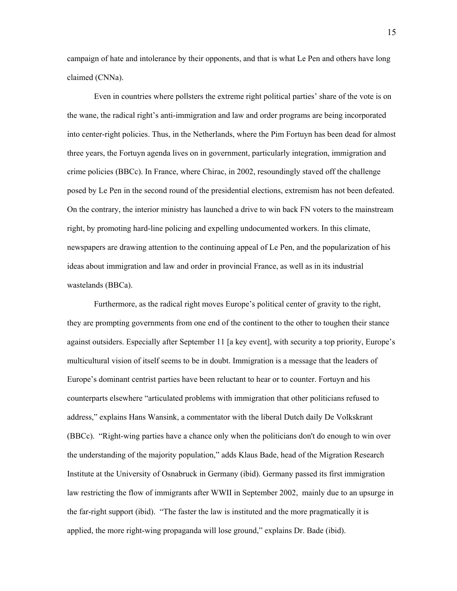campaign of hate and intolerance by their opponents, and that is what Le Pen and others have long claimed (CNNa).

Even in countries where pollsters the extreme right political parties' share of the vote is on the wane, the radical right's anti-immigration and law and order programs are being incorporated into center-right policies. Thus, in the Netherlands, where the Pim Fortuyn has been dead for almost three years, the Fortuyn agenda lives on in government, particularly integration, immigration and crime policies (BBCc). In France, where Chirac, in 2002, resoundingly staved off the challenge posed by Le Pen in the second round of the presidential elections, extremism has not been defeated. On the contrary, the interior ministry has launched a drive to win back FN voters to the mainstream right, by promoting hard-line policing and expelling undocumented workers. In this climate, newspapers are drawing attention to the continuing appeal of Le Pen, and the popularization of his ideas about immigration and law and order in provincial France, as well as in its industrial wastelands (BBCa).

Furthermore, as the radical right moves Europe's political center of gravity to the right, they are prompting governments from one end of the continent to the other to toughen their stance against outsiders. Especially after September 11 [a key event], with security a top priority, Europe's multicultural vision of itself seems to be in doubt. Immigration is a message that the leaders of Europe's dominant centrist parties have been reluctant to hear or to counter. Fortuyn and his counterparts elsewhere "articulated problems with immigration that other politicians refused to address," explains Hans Wansink, a commentator with the liberal Dutch daily De Volkskrant (BBCc). "Right-wing parties have a chance only when the politicians don't do enough to win over the understanding of the majority population," adds Klaus Bade, head of the Migration Research Institute at the University of Osnabruck in Germany (ibid). Germany passed its first immigration law restricting the flow of immigrants after WWII in September 2002, mainly due to an upsurge in the far-right support (ibid). "The faster the law is instituted and the more pragmatically it is applied, the more right-wing propaganda will lose ground," explains Dr. Bade (ibid).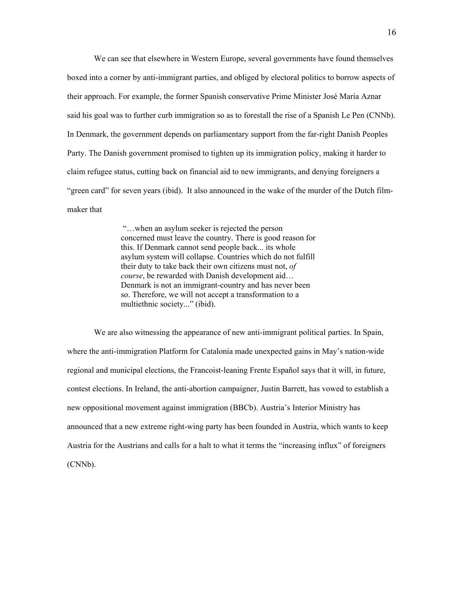We can see that elsewhere in Western Europe, several governments have found themselves boxed into a corner by anti-immigrant parties, and obliged by electoral politics to borrow aspects of their approach. For example, the former Spanish conservative Prime Minister José Maria Aznar said his goal was to further curb immigration so as to forestall the rise of a Spanish Le Pen (CNNb). In Denmark, the government depends on parliamentary support from the far-right Danish Peoples Party. The Danish government promised to tighten up its immigration policy, making it harder to claim refugee status, cutting back on financial aid to new immigrants, and denying foreigners a "green card" for seven years (ibid). It also announced in the wake of the murder of the Dutch filmmaker that

> "…when an asylum seeker is rejected the person concerned must leave the country. There is good reason for this. If Denmark cannot send people back... its whole asylum system will collapse. Countries which do not fulfill their duty to take back their own citizens must not, *of course*, be rewarded with Danish development aid… Denmark is not an immigrant-country and has never been so. Therefore, we will not accept a transformation to a multiethnic society..." (ibid).

We are also witnessing the appearance of new anti-immigrant political parties. In Spain, where the anti-immigration Platform for Catalonia made unexpected gains in May's nation-wide regional and municipal elections, the Francoist-leaning Frente Español says that it will, in future, contest elections. In Ireland, the anti-abortion campaigner, Justin Barrett, has vowed to establish a new oppositional movement against immigration (BBCb). Austria's Interior Ministry has announced that a new extreme right-wing party has been founded in Austria, which wants to keep Austria for the Austrians and calls for a halt to what it terms the "increasing influx" of foreigners (CNNb).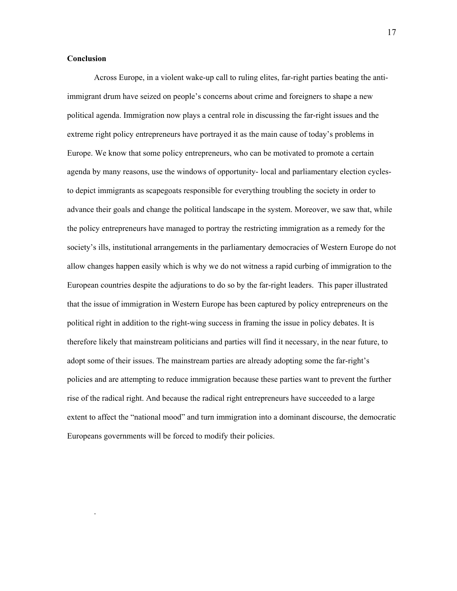#### **Conclusion**

.

Across Europe, in a violent wake-up call to ruling elites, far-right parties beating the antiimmigrant drum have seized on people's concerns about crime and foreigners to shape a new political agenda. Immigration now plays a central role in discussing the far-right issues and the extreme right policy entrepreneurs have portrayed it as the main cause of today's problems in Europe. We know that some policy entrepreneurs, who can be motivated to promote a certain agenda by many reasons, use the windows of opportunity- local and parliamentary election cyclesto depict immigrants as scapegoats responsible for everything troubling the society in order to advance their goals and change the political landscape in the system. Moreover, we saw that, while the policy entrepreneurs have managed to portray the restricting immigration as a remedy for the society's ills, institutional arrangements in the parliamentary democracies of Western Europe do not allow changes happen easily which is why we do not witness a rapid curbing of immigration to the European countries despite the adjurations to do so by the far-right leaders. This paper illustrated that the issue of immigration in Western Europe has been captured by policy entrepreneurs on the political right in addition to the right-wing success in framing the issue in policy debates. It is therefore likely that mainstream politicians and parties will find it necessary, in the near future, to adopt some of their issues. The mainstream parties are already adopting some the far-right's policies and are attempting to reduce immigration because these parties want to prevent the further rise of the radical right. And because the radical right entrepreneurs have succeeded to a large extent to affect the "national mood" and turn immigration into a dominant discourse, the democratic Europeans governments will be forced to modify their policies.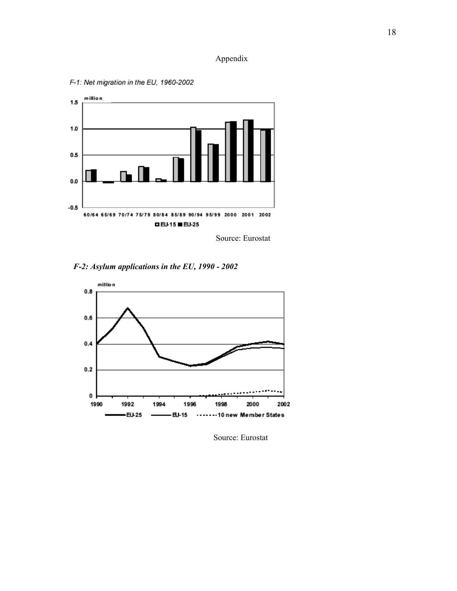## Appendix



F-1: Net migration in the EU, 1960-2002

Source: Eurostat

 *F-2: Asylum applications in the EU, 1990 - 2002*



Source: Eurostat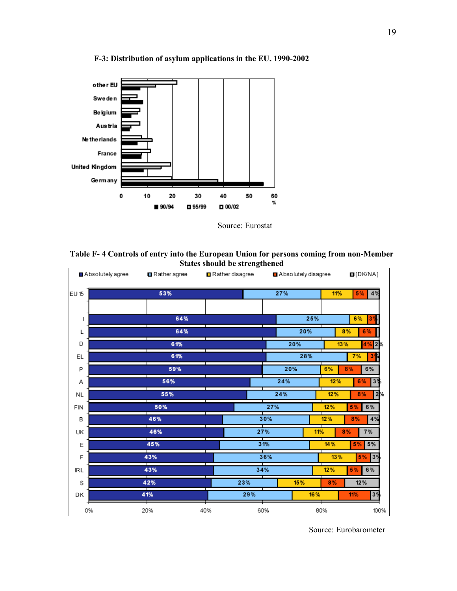

**F-3: Distribution of asylum applications in the EU, 1990-2002** 



**Table F- 4 Controls of entry into the European Union for persons coming from non-Member States should be strengthened**  $\overline{1}$ 

| Absolutely agree |    | <b>□</b> Rather agree |     | Rather disagree |     | Absolutely disagree |     |           |     |          | D[DKNA]        |      |  |  |
|------------------|----|-----------------------|-----|-----------------|-----|---------------------|-----|-----------|-----|----------|----------------|------|--|--|
| EU 15            |    | 53%                   |     | 27%             |     |                     | 11% |           |     | 5%       | 4%             |      |  |  |
|                  |    |                       |     |                 |     |                     |     |           |     |          |                |      |  |  |
| ı                |    | 64%                   |     |                 |     |                     | 25% |           |     | 6%       | 3              |      |  |  |
| L                |    | 64%                   |     |                 | 20% |                     |     |           | 8%  |          | 6%             |      |  |  |
| D                |    | 61%                   |     |                 | 20% |                     |     | 13%       |     |          | $4\%$ 2%       |      |  |  |
| EL               |    | 61%                   |     |                 |     |                     | 28% |           |     | 7%<br>3% |                |      |  |  |
| P                |    | 59%                   |     |                 |     | 20%                 |     | 6%        | 8%  |          | 6%             |      |  |  |
| Α                |    | 56%                   |     |                 |     | 24%                 |     | 12%       |     | 6%       | 3 <sup>°</sup> |      |  |  |
| <b>NL</b>        |    | 55%                   |     |                 |     | 24%                 |     | 12%       |     | 8%       |                | 2%   |  |  |
| FIN              |    | 50%                   |     |                 | 27% |                     |     | 12%       |     | 5%       | 6%             |      |  |  |
| B                |    | 46%                   |     |                 | 30% |                     |     | 12%       |     | 8%       | 4%             |      |  |  |
| UK               |    | 46%                   |     | 27%             |     |                     |     | 11%<br>8% |     |          | 7%             |      |  |  |
| Ε                |    | 45%                   |     |                 | 31% |                     |     | 14%       |     | 5%       | 5%             |      |  |  |
| F                |    | 43%                   |     | 36%             |     |                     |     |           | 13% | 5%       | 3 <sup>9</sup> |      |  |  |
| <b>IRL</b>       |    | 43%                   |     | 34%             |     |                     | 12% |           |     | 5%       | 6%             |      |  |  |
| S                |    | 42%                   |     | 23%             |     | 15%                 |     |           |     | 8%       |                | 12%  |  |  |
| DK               |    | 41%                   |     | 29%             |     |                     | 16% |           |     | 11%      | 3 <sup>9</sup> |      |  |  |
|                  | 0% | 20%                   | 40% |                 | 60% |                     |     | 80%       |     |          |                | 100% |  |  |

Source: Eurobarometer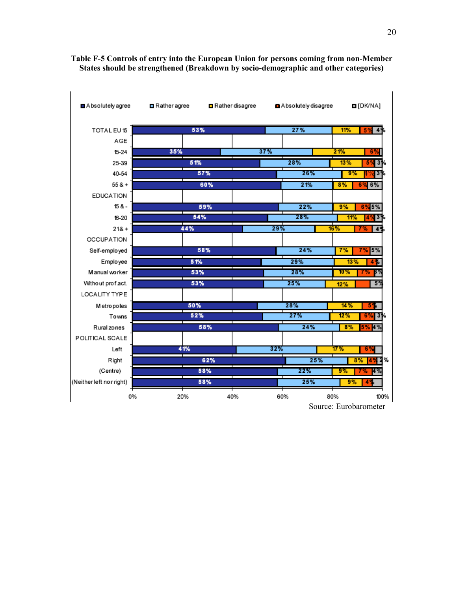

## **Table F-5 Controls of entry into the European Union for persons coming from non-Member States should be strengthened (Breakdown by socio-demographic and other categories)**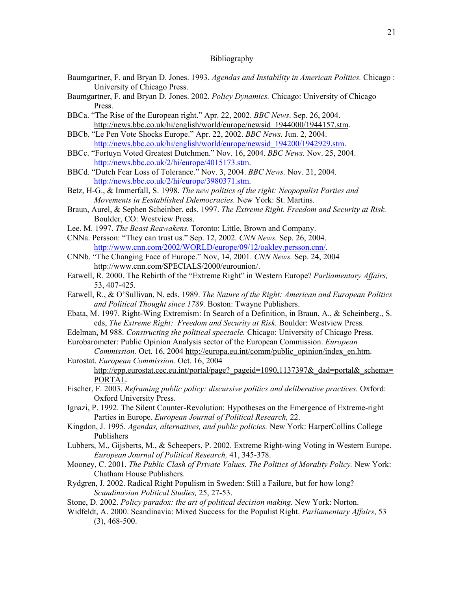#### Bibliography

- Baumgartner, F. and Bryan D. Jones. 1993. *Agendas and Instability in American Politics.* Chicago : University of Chicago Press.
- Baumgartner, F. and Bryan D. Jones. 2002. *Policy Dynamics.* Chicago: University of Chicago Press.
- BBCa. "The Rise of the European right." Apr. 22, 2002. *BBC News*. Sep. 26, 2004. [http://news.bbc.co.uk/hi/english/world/europe/newsid\\_1944000/1944157.stm.](http://news.bbc.co.uk/hi/english/world/europe/newsid_1944000/1944157.stm)
- BBCb. "Le Pen Vote Shocks Europe." Apr. 22, 2002. *BBC News.* Jun. 2, 2004. [http://news.bbc.co.uk/hi/english/world/europe/newsid\\_194200/1942929.stm.](http://news.bbc.co.uk/hi/english/world/europe/newsid_194200/1942929.stm)
- BBCc. "Fortuyn Voted Greatest Dutchmen." Nov. 16, 2004. *BBC News.* Nov. 25, 2004. [http://news.bbc.co.uk/2/hi/europe/4015173.stm.](http://news.bbc.co.uk/2/hi/europe/4015173.stm)
- BBCd. "Dutch Fear Loss of Tolerance." Nov. 3, 2004. *BBC News.* Nov. 21, 2004. [http://news.bbc.co.uk/2/hi/europe/3980371.stm.](http://news.bbc.co.uk/2/hi/europe/3980371.stm)
- Betz, H-G., & Immerfall, S. 1998. *The new politics of the right: Neopopulist Parties and Movements in Eestablished Ddemocracies.* New York: St. Martins.
- Braun, Aurel, & Sephen Scheinber, eds. 1997. *The Extreme Right. Freedom and Security at Risk.* Boulder, CO: Westview Press.
- Lee. M. 1997. *The Beast Reawakens.* Toronto: Little, Brown and Company.
- CNNa. Persson: "They can trust us." Sep. 12, 2002. *CNN News.* Sep. 26, 2004. [http://www.cnn.com/2002/WORLD/europe/09/12/oakley.persson.cnn/.](http://www.cnn.com/2002/WORLD/europe/09/12/oakley.persson.cnn/)
- CNNb. "The Changing Face of Europe." Nov, 14, 2001. *CNN News.* Sep. 24, 2004 [http://www.cnn.com/SPECIALS/2000/eurounion/.](http://www.cnn.com/SPECIALS/2000/eurounion/)
- Eatwell, R. 2000. The Rebirth of the "Extreme Right" in Western Europe? *Parliamentary Affairs,* 53, 407-425.
- Eatwell, R., & O'Sullivan, N. eds. 1989. *The Nature of the Right: American and European Politics and Political Thought since 1789.* Boston: Twayne Publishers.
- Ebata, M. 1997. Right-Wing Extremism: In Search of a Definition, in Braun, A., & Scheinberg., S. eds, *The Extreme Right: Freedom and Security at Risk.* Boulder: Westview Press.
- Edelman, M 988. *Constructing the political spectacle.* Chicago: University of Chicago Press.

Eurobarometer: Public Opinion Analysis sector of the European Commission. *European Commission.* Oct. 16, 2004 [http://europa.eu.int/comm/public\\_opinion/index\\_en.htm.](http://europa.eu.int/comm/public_opinion/index_en.htm)

- Eurostat. *European Commission.* Oct. 16, 2004 http://epp.eurostat.cec.eu.int/portal/page? pageid=1090,1137397&\_dad=portal&\_schema= [PORTAL.](http://epp.eurostat.cec.eu.int/portal/page?_pageid=1090,1137397&_dad=portal&_schema=PORTAL)
- Fischer, F. 2003. *Reframing public policy: discursive politics and deliberative practices.* Oxford: Oxford University Press.
- Ignazi, P. 1992. The Silent Counter-Revolution: Hypotheses on the Emergence of Extreme-right Parties in Europe. *European Journal of Political Research,* 22.
- Kingdon, J. 1995*. Agendas, alternatives, and public policies.* New York: HarperCollins College Publishers
- Lubbers, M., Gijsberts, M., & Scheepers, P. 2002. Extreme Right-wing Voting in Western Europe. *European Journal of Political Research,* 41, 345-378.
- Mooney, C. 2001. *The Public Clash of Private Values. The Politics of Morality Policy.* New York: Chatham House Publishers.
- Rydgren, J. 2002. Radical Right Populism in Sweden: Still a Failure, but for how long? *Scandinavian Political Studies,* 25, 27-53.
- Stone, D. 2002. *Policy paradox: the art of political decision making.* New York: Norton.
- Widfeldt, A. 2000. Scandinavia: Mixed Success for the Populist Right. *Parliamentary Affairs*, 53 (3), 468-500.